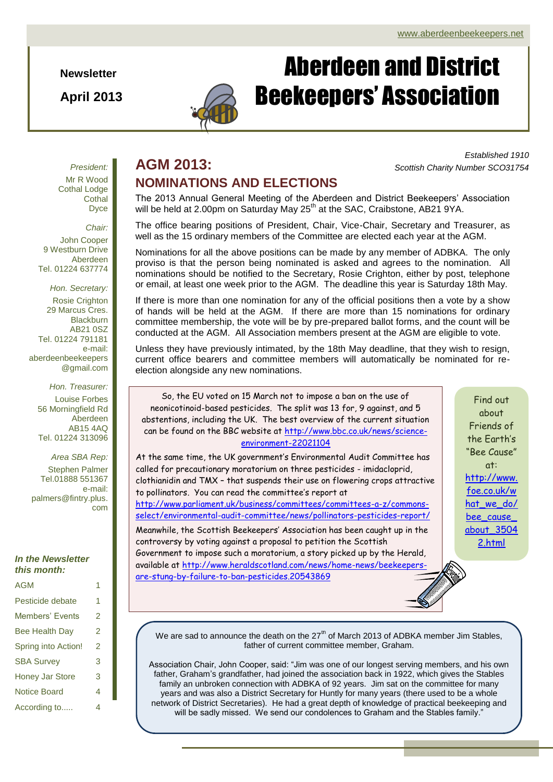**Newsletter**

**April 2013**



# Aberdeen and District Beekeepers' Association

### **AGM 2013:** *Scottish Charity Number SCO31754* **NOMINATIONS AND ELECTIONS**

*Established 1910*

*President:* Mr R Wood Cothal Lodge **Cothal** Dyce

*Chair:* John Cooper 9 Westburn Drive Aberdeen Tel. 01224 637774

*Hon. Secretary:* Rosie Crighton 29 Marcus Cres. **Blackburn** AB21 0SZ Tel. 01224 791181 e-mail: aberdeenbeekeepers @gmail.com

*Hon. Treasurer:* Louise Forbes 56 Morningfield Rd Aberdeen AB15 4AQ Tel. 01224 313096

*Area SBA Rep:* Stephen Palmer Tel.01888 551367 e-mail: palmers@fintry.plus. com

#### *In the Newsletter this month:*

| <b>AGM</b>             | 1 |
|------------------------|---|
| Pesticide debate       | 1 |
| <b>Members' Events</b> | 2 |
| <b>Bee Health Day</b>  | 2 |
| Spring into Action!    | 2 |
| <b>SBA Survey</b>      | 3 |
| <b>Honey Jar Store</b> | 3 |
| <b>Notice Board</b>    | 4 |
| According to           | 4 |

The 2013 Annual General Meeting of the Aberdeen and District Beekeepers' Association will be held at 2.00pm on Saturday May 25<sup>th</sup> at the SAC, Craibstone, AB21 9YA.

The office bearing positions of President, Chair, Vice-Chair, Secretary and Treasurer, as well as the 15 ordinary members of the Committee are elected each year at the AGM.

Nominations for all the above positions can be made by any member of ADBKA. The only proviso is that the person being nominated is asked and agrees to the nomination. All nominations should be notified to the Secretary, Rosie Crighton, either by post, telephone or email, at least one week prior to the AGM. The deadline this year is Saturday 18th May.

If there is more than one nomination for any of the official positions then a vote by a show of hands will be held at the AGM. If there are more than 15 nominations for ordinary committee membership, the vote will be by pre-prepared ballot forms, and the count will be conducted at the AGM. All Association members present at the AGM are eligible to vote.

Unless they have previously intimated, by the 18th May deadline, that they wish to resign, current office bearers and committee members will automatically be nominated for reelection alongside any new nominations.

So, the EU voted on 15 March not to impose a ban on the use of neonicotinoid-based pesticides. The split was 13 for, 9 against, and 5 abstentions, including the UK. The best overview of the current situation can be found on the BBC website at [http://www.bbc.co.uk/news/science](http://www.bbc.co.uk/news/science-environment-22021104)[environment-22021104](http://www.bbc.co.uk/news/science-environment-22021104)

At the same time, the UK government's Environmental Audit Committee has called for precautionary moratorium on three pesticides - imidacloprid, clothianidin and TMX – that suspends their use on flowering crops attractive to pollinators. You can read the committee's report at [http://www.parliament.uk/business/committees/committees-a-z/commons](http://www.parliament.uk/business/committees/committees-a-z/commons-select/environmental-audit-committee/news/pollinators-pesticides-report/)[select/environmental-audit-committee/news/pollinators-pesticides-report/](http://www.parliament.uk/business/committees/committees-a-z/commons-select/environmental-audit-committee/news/pollinators-pesticides-report/) Meanwhile, the Scottish Beekeepers' Association has been caught up in the

controversy by voting against a proposal to petition the Scottish Government to impose such a moratorium, a story picked up by the Herald, available at [http://www.heraldscotland.com/news/home-news/beekeepers](http://www.heraldscotland.com/news/home-news/beekeepers-are-stung-by-failure-to-ban-pesticides.20543869)[are-stung-by-failure-to-ban-pesticides.20543869](http://www.heraldscotland.com/news/home-news/beekeepers-are-stung-by-failure-to-ban-pesticides.20543869)

Find out about Friends of the Earth's "Bee Cause" at: [http://www.](http://www.foe.co.uk/what_we_do/bee_cause_about_35042.html) [foe.co.uk/w](http://www.foe.co.uk/what_we_do/bee_cause_about_35042.html) [hat\\_we\\_do/](http://www.foe.co.uk/what_we_do/bee_cause_about_35042.html) bee\_cause [about\\_3504](http://www.foe.co.uk/what_we_do/bee_cause_about_35042.html) [2.html](http://www.foe.co.uk/what_we_do/bee_cause_about_35042.html)

We are sad to announce the death on the  $27<sup>th</sup>$  of March 2013 of ADBKA member Jim Stables, father of current committee member, Graham.

Association Chair, John Cooper, said: "Jim was one of our longest serving members, and his own father, Graham's grandfather, had joined the association back in 1922, which gives the Stables family an unbroken connection with ADBKA of 92 years. Jim sat on the committee for many years and was also a District Secretary for Huntly for many years (there used to be a whole network of District Secretaries). He had a great depth of knowledge of practical beekeeping and will be sadly missed. We send our condolences to Graham and the Stables family."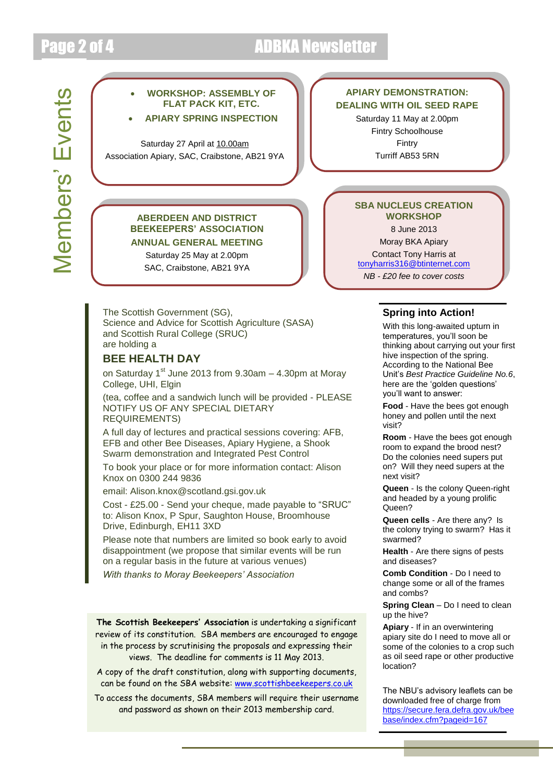## Page 2 of 4 **ADBKA Newsletter**



### **APIARY DEMONSTRATION: DEALING WITH OIL SEED RAPE**

Saturday 11 May at 2.00pm Fintry Schoolhouse Fintry Turriff AB53 5RN

#### **ABERDEEN AND DISTRICT BEEKEEPERS' ASSOCIATION ANNUAL GENERAL MEETING**

Saturday 25 May at 2.00pm SAC, Craibstone, AB21 9YA

The Scottish Government (SG), Science and Advice for Scottish Agriculture (SASA) and Scottish Rural College (SRUC) are holding a

### **BEE HEALTH DAY**

on Saturday  $1<sup>st</sup>$  June 2013 from 9.30am  $-$  4.30pm at Moray College, UHI, Elgin

(tea, coffee and a sandwich lunch will be provided - PLEASE NOTIFY US OF ANY SPECIAL DIETARY REQUIREMENTS)

A full day of lectures and practical sessions covering: AFB, EFB and other Bee Diseases, Apiary Hygiene, a Shook Swarm demonstration and Integrated Pest Control

To book your place or for more information contact: Alison Knox on 0300 244 9836

email: Alison.knox@scotland.gsi.gov.uk

Cost - £25.00 - Send your cheque, made payable to "SRUC" to: Alison Knox, P Spur, Saughton House, Broomhouse Drive, Edinburgh, EH11 3XD

Please note that numbers are limited so book early to avoid disappointment (we propose that similar events will be run on a regular basis in the future at various venues)

*With thanks to Moray Beekeepers' Association*

**The Scottish Beekeepers' Association** is undertaking a significant review of its constitution. SBA members are encouraged to engage in the process by scrutinising the proposals and expressing their views. The deadline for comments is 11 May 2013.

A copy of the draft constitution, along with supporting documents, can be found on the SBA website: [www.scottishbeekeepers.co.uk](http://www.scottishbeekeepers.co.uk/)

To access the documents, SBA members will require their username and password as shown on their 2013 membership card.

#### **SBA NUCLEUS CREATION WORKSHOP** 8 June 2013

Moray BKA Apiary Contact Tony Harris at [tonyharris316@btinternet.com](mailto:tonyharris316@btinternet.com) *NB - £20 fee to cover costs*

#### **Spring into Action!**

With this long-awaited upturn in temperatures, you'll soon be thinking about carrying out your first hive inspection of the spring. According to the National Bee Unit's *Best Practice Guideline No.6*, here are the 'golden questions' you'll want to answer:

**honey and pollen until the next Food** - Have the bees got enough visit?

**Room** - Have the bees got enough room to expand the brood nest? Do the colonies need supers put on? Will they need supers at the next visit?

**Queen** - Is the colony Queen-right and headed by a young prolific Queen?

**Queen cells** - Are there any? Is the colony trying to swarm? Has it swarmed?

**Health** - Are there signs of pests and diseases?

**Comb Condition** - Do I need to change some or all of the frames and combs?

**Spring Clean** – Do I need to clean up the hive?

**Apiary** - If in an overwintering apiary site do I need to move all or some of the colonies to a crop such as oil seed rape or other productive location?

The NBU's advisory leaflets can be downloaded free of charge from [https://secure.fera.defra.gov.uk/bee](https://secure.fera.defra.gov.uk/beebase/index.cfm?pageid=167) [base/index.cfm?pageid=167](https://secure.fera.defra.gov.uk/beebase/index.cfm?pageid=167)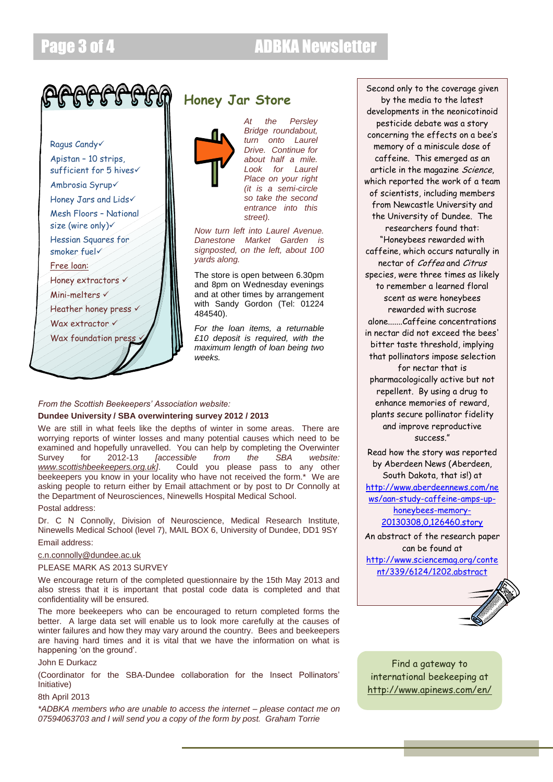

Ragus Candy Apistan – 10 strips, sufficient for 5 hives Ambrosia Syrup Honey Jars and Lids Mesh Floors – National size (wire only) Hessian Squares for smoker fuel Free loan: Honey extractors v Mini-melters

Heather honey press v

Wax extractor v

Wax foundation press

### **Honey Jar Store**



*Bridge roundabout, turn onto Laurel Drive. Continue for about half a mile. Look for Laurel Place on your right (it is a semi-circle so take the second entrance into this street).* 

*At the Persley* 

*Now turn left into Laurel Avenue. Danestone Market Garden is signposted, on the left, about 100 yards along.*

The store is open between 6.30pm and 8pm on Wednesday evenings and at other times by arrangement with Sandy Gordon (Tel: 01224 484540).

*For the loan items, a returnable £10 deposit is required, with the maximum length of loan being two weeks.*

#### *From the Scottish Beekeepers' Association website:*

#### **Dundee University / SBA overwintering survey 2012 / 2013**

We are still in what feels like the depths of winter in some areas. There are worrying reports of winter losses and many potential causes which need to be examined and hopefully unravelled. You can help by completing the Overwinter<br>Survey for 2012-13 *[accessible from the SBA website:* Survey for 2012-13 *[accessible from the SBA website: [www.scottishbeekeepers.org.uk\]](http://www.scottishbeekeepers.org.uk/)*. Could you please pass to any other beekeepers you know in your locality who have not received the form.\* We are asking people to return either by Email attachment or by post to Dr Connolly at the Department of Neurosciences, Ninewells Hospital Medical School.

Postal address:

Dr. C N Connolly, Division of Neuroscience, Medical Research Institute, Ninewells Medical School (level 7), MAIL BOX 6, University of Dundee, DD1 9SY

#### Email address:

#### [c.n.connolly@dundee.ac.uk](mailto:c.n.connolly@dundee.ac.uk)

#### PLEASE MARK AS 2013 SURVEY

We encourage return of the completed questionnaire by the 15th May 2013 and also stress that it is important that postal code data is completed and that confidentiality will be ensured.

The more beekeepers who can be encouraged to return completed forms the better. A large data set will enable us to look more carefully at the causes of winter failures and how they may vary around the country. Bees and beekeepers are having hard times and it is vital that we have the information on what is happening 'on the ground'.

#### John E Durkacz

(Coordinator for the SBA-Dundee collaboration for the Insect Pollinators' Initiative)

#### 8th April 2013

*\*ADBKA members who are unable to access the internet – please contact me on 07594063703 and I will send you a copy of the form by post. Graham Torrie*

Second only to the coverage given by the media to the latest developments in the neonicotinoid pesticide debate was a story concerning the effects on a bee's memory of a miniscule dose of caffeine. This emerged as an article in the magazine Science, which reported the work of a team of scientists, including members from Newcastle University and the University of Dundee. The researchers found that: "Honeybees rewarded with caffeine, which occurs naturally in nectar of Coffea and Citrus species, were three times as likely to remember a learned floral scent as were honeybees rewarded with sucrose alone.......Caffeine concentrations in nectar did not exceed the bees' bitter taste threshold, implying that pollinators impose selection for nectar that is pharmacologically active but not repellent. By using a drug to

enhance memories of reward, plants secure pollinator fidelity and improve reproductive success."

Read how the story was reported by Aberdeen News (Aberdeen, South Dakota, that is!) at [http://www.aberdeennews.com/ne](http://www.aberdeennews.com/news/aan-study-caffeine-amps-up-honeybees-memory-20130308,0,126460.story) [ws/aan-study-caffeine-amps-up](http://www.aberdeennews.com/news/aan-study-caffeine-amps-up-honeybees-memory-20130308,0,126460.story)[honeybees-memory-](http://www.aberdeennews.com/news/aan-study-caffeine-amps-up-honeybees-memory-20130308,0,126460.story)[20130308,0,126460.story](http://www.aberdeennews.com/news/aan-study-caffeine-amps-up-honeybees-memory-20130308,0,126460.story)

An abstract of the research paper can be found at [http://www.sciencemag.org/conte](http://www.sciencemag.org/content/339/6124/1202.abstract) [nt/339/6124/1202.abstract](http://www.sciencemag.org/content/339/6124/1202.abstract)



Find a gateway to international beekeeping at <http://www.apinews.com/en/>